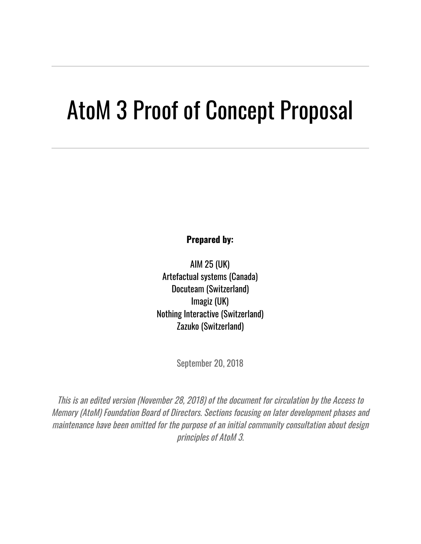# AtoM 3 Proof of Concept Proposal

**Prepared by:**

AIM 25 (UK) Artefactual systems (Canada) Docuteam (Switzerland) Imagiz (UK) Nothing Interactive (Switzerland) Zazuko (Switzerland)

September 20, 2018

This is an edited version (November 28, 2018) of the document for circulation by the Access to Memory (AtoM) Foundation Board of Directors. Sections focusing on later development phases and maintenance have been omitted for the purpose of an initial community consultation about design principles of AtoM 3.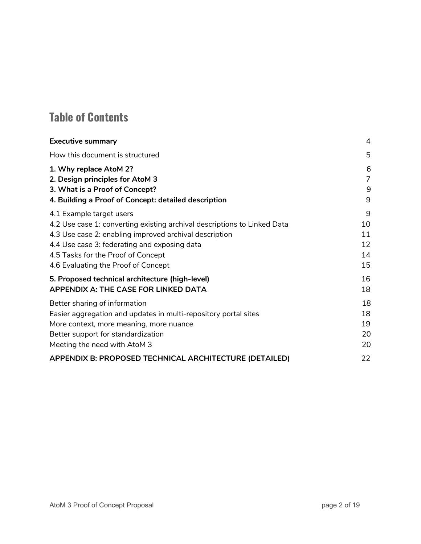# **Table of Contents**

| <b>Executive summary</b>                                                 | 4  |
|--------------------------------------------------------------------------|----|
| How this document is structured                                          | 5  |
| 1. Why replace AtoM 2?                                                   | 6  |
| 2. Design principles for AtoM 3                                          | 7  |
| 3. What is a Proof of Concept?                                           | 9  |
| 4. Building a Proof of Concept: detailed description                     | 9  |
| 4.1 Example target users                                                 | 9  |
| 4.2 Use case 1: converting existing archival descriptions to Linked Data | 10 |
| 4.3 Use case 2: enabling improved archival description                   | 11 |
| 4.4 Use case 3: federating and exposing data                             | 12 |
| 4.5 Tasks for the Proof of Concept                                       | 14 |
| 4.6 Evaluating the Proof of Concept                                      | 15 |
| 5. Proposed technical architecture (high-level)                          | 16 |
| APPENDIX A: THE CASE FOR LINKED DATA                                     | 18 |
| Better sharing of information                                            | 18 |
| Easier aggregation and updates in multi-repository portal sites          | 18 |
| More context, more meaning, more nuance                                  | 19 |
| Better support for standardization                                       | 20 |
| Meeting the need with AtoM 3                                             | 20 |
| APPENDIX B: PROPOSED TECHNICAL ARCHITECTURE (DETAILED)                   | 22 |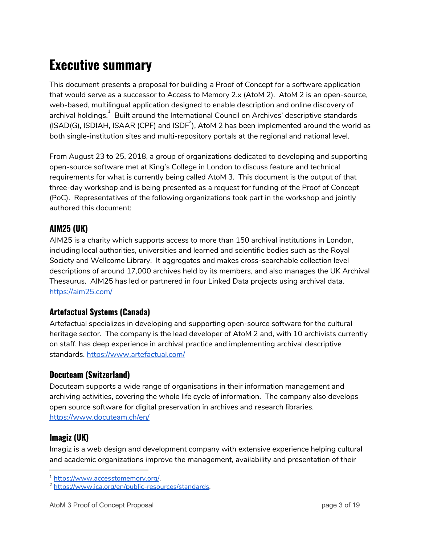# <span id="page-2-0"></span>**Executive summary**

This document presents a proposal for building a Proof of Concept for a software application that would serve as a successor to Access to Memory 2.x (AtoM 2). AtoM 2 is an open-source, web-based, multilingual application designed to enable description and online discovery of archival holdings. $^\mathrm{1}$  Built around the International Council on Archives' descriptive standards (ISAD(G), ISDIAH, ISAAR (CPF) and ISDF<sup>2</sup>), AtoM 2 has been implemented around the world as both single-institution sites and multi-repository portals at the regional and national level.

From August 23 to 25, 2018, a group of organizations dedicated to developing and supporting open-source software met at King's College in London to discuss feature and technical requirements for what is currently being called AtoM 3. This document is the output of that three-day workshop and is being presented as a request for funding of the Proof of Concept (PoC). Representatives of the following organizations took part in the workshop and jointly authored this document:

#### **AIM25 (UK)**

AIM25 is a charity which supports access to more than 150 archival institutions in London, including local authorities, universities and learned and scientific bodies such as the Royal Society and Wellcome Library. It aggregates and makes cross-searchable collection level descriptions of around 17,000 archives held by its members, and also manages the UK Archival Thesaurus. AIM25 has led or partnered in four Linked Data projects using archival data. <https://aim25.com/>

#### **Artefactual Systems (Canada)**

Artefactual specializes in developing and supporting open-source software for the cultural heritage sector. The company is the lead developer of AtoM 2 and, with 10 archivists currently on staff, has deep experience in archival practice and implementing archival descriptive standards. <https://www.artefactual.com/>

#### **Docuteam (Switzerland)**

Docuteam supports a wide range of organisations in their information management and archiving activities, covering the whole life cycle of information. The company also develops open source software for digital preservation in archives and research libraries. <https://www.docuteam.ch/en/>

#### **Imagiz (UK)**

Imagiz is a web design and development company with extensive experience helping cultural and academic organizations improve the management, availability and presentation of their

<sup>1</sup> <https://www.accesstomemory.org/>.

<sup>2</sup> <https://www.ica.org/en/public-resources/standards>.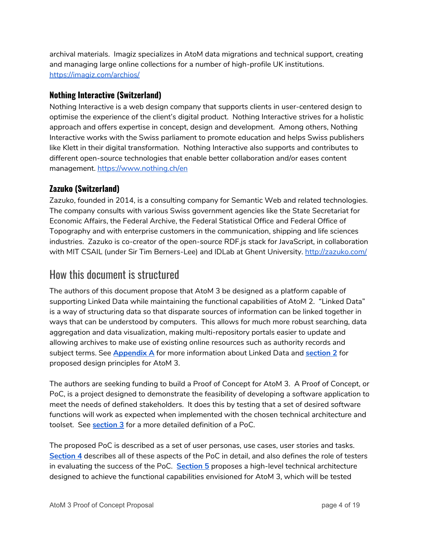archival materials. Imagiz specializes in AtoM data migrations and technical support, creating and managing large online collections for a number of high-profile UK institutions. <https://imagiz.com/archios/>

#### **Nothing Interactive (Switzerland)**

Nothing Interactive is a web design company that supports clients in user-centered design to optimise the experience of the client's digital product. Nothing Interactive strives for a holistic approach and offers expertise in concept, design and development. Among others, Nothing Interactive works with the Swiss parliament to promote education and helps Swiss publishers like Klett in their digital transformation. Nothing Interactive also supports and contributes to different open-source technologies that enable better collaboration and/or eases content management. <https://www.nothing.ch/en>

#### **Zazuko (Switzerland)**

Zazuko, founded in 2014, is a consulting company for Semantic Web and related technologies. The company consults with various Swiss government agencies like the State Secretariat for Economic Affairs, the Federal Archive, the Federal Statistical Office and Federal Office of Topography and with enterprise customers in the communication, shipping and life sciences industries. Zazuko is co-creator of the open-source RDF.js stack for JavaScript, in collaboration with MIT CSAIL (under Sir Tim Berners-Lee) and IDLab at Ghent University. <http://zazuko.com/>

### <span id="page-3-0"></span>How this document is structured

The authors of this document propose that AtoM 3 be designed as a platform capable of supporting Linked Data while maintaining the functional capabilities of AtoM 2. "Linked Data" is a way of structuring data so that disparate sources of information can be linked together in ways that can be understood by computers. This allows for much more robust searching, data aggregation and data visualization, making multi-repository portals easier to update and allowing archives to make use of existing online resources such as authority records and subject terms. See **[Appendix](#page-13-1) A** for more information about Linked Data and **section 2** for proposed design principles for AtoM 3.

The authors are seeking funding to build a Proof of Concept for AtoM 3. A Proof of Concept, or PoC, is a project designed to demonstrate the feasibility of developing a software application to meet the needs of defined stakeholders. It does this by testing that a set of desired software functions will work as expected when implemented with the chosen technical architecture and toolset. See **section 3** for a more detailed definition of a PoC.

The proposed PoC is described as a set of user personas, use cases, user stories and tasks. **Section 4** describes all of these aspects of the PoC in detail, and also defines the role of testers in evaluating the success of the PoC. **Section 5** proposes a high-level technical architecture designed to achieve the functional capabilities envisioned for AtoM 3, which will be tested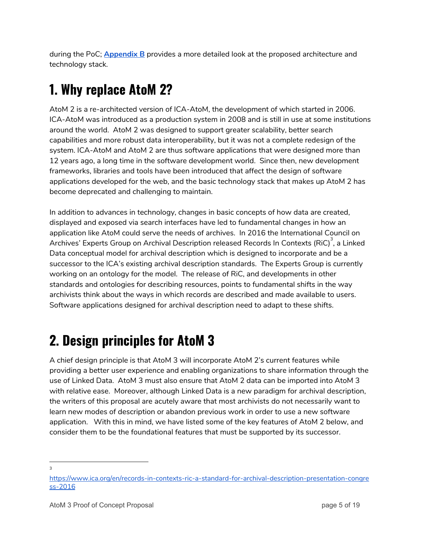during the PoC; **Appendix B** provides a more detailed look at the proposed architecture and technology stack.

# <span id="page-4-0"></span>**1. Why replace AtoM 2?**

AtoM 2 is a re-architected version of ICA-AtoM, the development of which started in 2006. ICA-AtoM was introduced as a production system in 2008 and is still in use at some institutions around the world. AtoM 2 was designed to support greater scalability, better search capabilities and more robust data interoperability, but it was not a complete redesign of the system. ICA-AtoM and AtoM 2 are thus software applications that were designed more than 12 years ago, a long time in the software development world. Since then, new development frameworks, libraries and tools have been introduced that affect the design of software applications developed for the web, and the basic technology stack that makes up AtoM 2 has become deprecated and challenging to maintain.

In addition to advances in technology, changes in basic concepts of how data are created, displayed and exposed via search interfaces have led to fundamental changes in how an application like AtoM could serve the needs of archives. In 2016 the International Council on Archives' Experts Group on Archival Description released Records In Contexts (RiC) $^{\rm 3}$ , a Linked Data conceptual model for archival description which is designed to incorporate and be a successor to the ICA's existing archival description standards. The Experts Group is currently working on an ontology for the model. The release of RiC, and developments in other standards and ontologies for describing resources, points to fundamental shifts in the way archivists think about the ways in which records are described and made available to users. Software applications designed for archival description need to adapt to these shifts.

# <span id="page-4-1"></span>**2. Design principles for AtoM 3**

A chief design principle is that AtoM 3 will incorporate AtoM 2's current features while providing a better user experience and enabling organizations to share information through the use of Linked Data. AtoM 3 must also ensure that AtoM 2 data can be imported into AtoM 3 with relative ease. Moreover, although Linked Data is a new paradigm for archival description, the writers of this proposal are acutely aware that most archivists do not necessarily want to learn new modes of description or abandon previous work in order to use a new software application. With this in mind, we have listed some of the key features of AtoM 2 below, and consider them to be the foundational features that must be supported by its successor.

3

[https://www.ica.org/en/records-in-contexts-ric-a-standard-for-archival-description-presentation-congre](https://www.ica.org/en/records-in-contexts-ric-a-standard-for-archival-description-presentation-congress-2016) [ss-2016](https://www.ica.org/en/records-in-contexts-ric-a-standard-for-archival-description-presentation-congress-2016)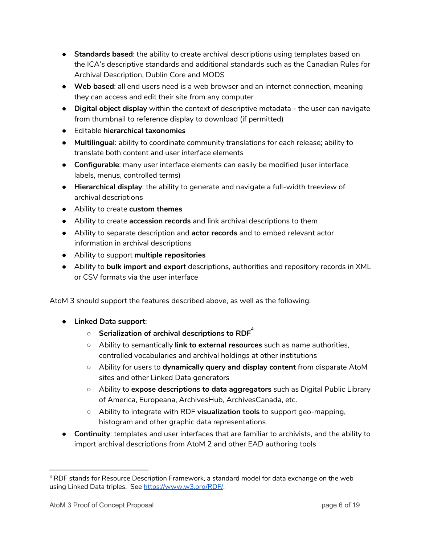- **Standards based**: the ability to create archival descriptions using templates based on the ICA's descriptive standards and additional standards such as the Canadian Rules for Archival Description, Dublin Core and MODS
- **Web based**: all end users need is a web browser and an internet connection, meaning they can access and edit their site from any computer
- **Digital object display** within the context of descriptive metadata the user can navigate from thumbnail to reference display to download (if permitted)
- Editable **hierarchical taxonomies**
- **Multilingual**: ability to coordinate community translations for each release; ability to translate both content and user interface elements
- **Configurable**: many user interface elements can easily be modified (user interface labels, menus, controlled terms)
- **Hierarchical display**: the ability to generate and navigate a full-width treeview of archival descriptions
- Ability to create **custom themes**
- Ability to create **accession records** and link archival descriptions to them
- Ability to separate description and **actor records** and to embed relevant actor information in archival descriptions
- Ability to support **multiple repositories**
- Ability to **bulk import and expor**t descriptions, authorities and repository records in XML or CSV formats via the user interface

AtoM 3 should support the features described above, as well as the following:

- **Linked Data support**:
	- **Serialization of archival descriptions to RDF** 4
	- Ability to semantically **link to external resources** such as name authorities, controlled vocabularies and archival holdings at other institutions
	- Ability for users to **dynamically query and display content** from disparate AtoM sites and other Linked Data generators
	- Ability to **expose descriptions to data aggregators** such as Digital Public Library of America, Europeana, ArchivesHub, ArchivesCanada, etc.
	- Ability to integrate with RDF **visualization tools** to support geo-mapping, histogram and other graphic data representations
- **Continuity**: templates and user interfaces that are familiar to archivists, and the ability to import archival descriptions from AtoM 2 and other EAD authoring tools

<sup>4</sup> RDF stands for Resource Description Framework, a standard model for data exchange on the web using Linked Data triples. See [https://www.w3.org/RDF/.](https://www.w3.org/RDF/)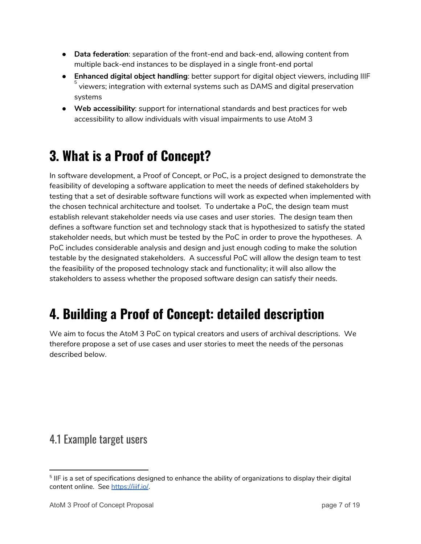- **Data federation**: separation of the front-end and back-end, allowing content from multiple back-end instances to be displayed in a single front-end portal
- **Enhanced digital object handling**: better support for digital object viewers, including IIIF  $^{\rm 5}$  viewers; integration with external systems such as DAMS and digital preservation systems
- **Web accessibility**: support for international standards and best practices for web accessibility to allow individuals with visual impairments to use AtoM 3

# <span id="page-6-0"></span>**3. What is a Proof of Concept?**

In software development, a Proof of Concept, or PoC, is a project designed to demonstrate the feasibility of developing a software application to meet the needs of defined stakeholders by testing that a set of desirable software functions will work as expected when implemented with the chosen technical architecture and toolset. To undertake a PoC, the design team must establish relevant stakeholder needs via use cases and user stories. The design team then defines a software function set and technology stack that is hypothesized to satisfy the stated stakeholder needs, but which must be tested by the PoC in order to prove the hypotheses. A PoC includes considerable analysis and design and just enough coding to make the solution testable by the designated stakeholders. A successful PoC will allow the design team to test the feasibility of the proposed technology stack and functionality; it will also allow the stakeholders to assess whether the proposed software design can satisfy their needs.

# <span id="page-6-1"></span>**4. Building a Proof of Concept: detailed description**

We aim to focus the AtoM 3 PoC on typical creators and users of archival descriptions. We therefore propose a set of use cases and user stories to meet the needs of the personas described below.

### <span id="page-6-2"></span>4.1 Example target users

 $^{\rm 5}$  IIF is a set of specifications designed to enhance the ability of organizations to display their digital content online. See <https://iiif.io/>.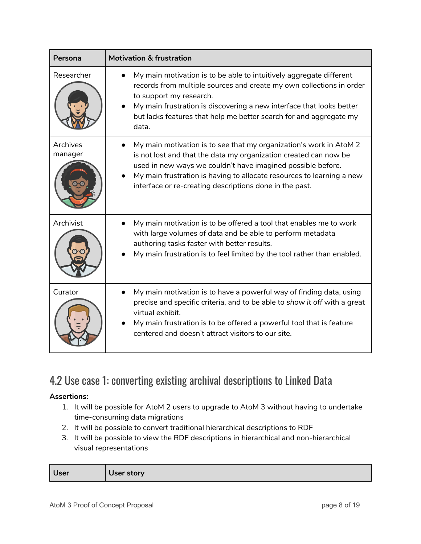| Persona             | <b>Motivation &amp; frustration</b>                                                                                                                                                                                                                                                                                                       |
|---------------------|-------------------------------------------------------------------------------------------------------------------------------------------------------------------------------------------------------------------------------------------------------------------------------------------------------------------------------------------|
| Researcher          | My main motivation is to be able to intuitively aggregate different<br>records from multiple sources and create my own collections in order<br>to support my research.<br>My main frustration is discovering a new interface that looks better<br>but lacks features that help me better search for and aggregate my<br>data.             |
| Archives<br>manager | My main motivation is to see that my organization's work in AtoM 2<br>is not lost and that the data my organization created can now be<br>used in new ways we couldn't have imagined possible before.<br>My main frustration is having to allocate resources to learning a new<br>interface or re-creating descriptions done in the past. |
| Archivist           | My main motivation is to be offered a tool that enables me to work<br>with large volumes of data and be able to perform metadata<br>authoring tasks faster with better results.<br>My main frustration is to feel limited by the tool rather than enabled.                                                                                |
| Curator             | My main motivation is to have a powerful way of finding data, using<br>precise and specific criteria, and to be able to show it off with a great<br>virtual exhibit.<br>My main frustration is to be offered a powerful tool that is feature<br>centered and doesn't attract visitors to our site.                                        |

# <span id="page-7-0"></span>4.2 Use case 1: converting existing archival descriptions to Linked Data

#### **Assertions:**

- 1. It will be possible for AtoM 2 users to upgrade to AtoM 3 without having to undertake time-consuming data migrations
- 2. It will be possible to convert traditional hierarchical descriptions to RDF
- 3. It will be possible to view the RDF descriptions in hierarchical and non-hierarchical visual representations

| <b>User</b> | User story |
|-------------|------------|
|-------------|------------|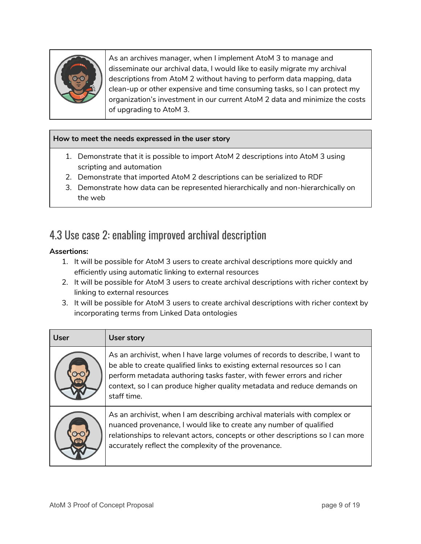

As an archives manager, when I implement AtoM 3 to manage and disseminate our archival data, I would like to easily migrate my archival descriptions from AtoM 2 without having to perform data mapping, data clean-up or other expensive and time consuming tasks, so I can protect my organization's investment in our current AtoM 2 data and minimize the costs of upgrading to AtoM 3.

#### **How to meet the needs expressed in the user story**

- 1. Demonstrate that it is possible to import AtoM 2 descriptions into AtoM 3 using scripting and automation
- 2. Demonstrate that imported AtoM 2 descriptions can be serialized to RDF
- 3. Demonstrate how data can be represented hierarchically and non-hierarchically on the web

### <span id="page-8-0"></span>4.3 Use case 2: enabling improved archival description

#### **Assertions:**

- 1. It will be possible for AtoM 3 users to create archival descriptions more quickly and efficiently using automatic linking to external resources
- 2. It will be possible for AtoM 3 users to create archival descriptions with richer context by linking to external resources
- 3. It will be possible for AtoM 3 users to create archival descriptions with richer context by incorporating terms from Linked Data ontologies

| <b>User</b> | User story                                                                                                                                                                                                                                                                                                                   |
|-------------|------------------------------------------------------------------------------------------------------------------------------------------------------------------------------------------------------------------------------------------------------------------------------------------------------------------------------|
|             | As an archivist, when I have large volumes of records to describe, I want to<br>be able to create qualified links to existing external resources so I can<br>perform metadata authoring tasks faster, with fewer errors and richer<br>context, so I can produce higher quality metadata and reduce demands on<br>staff time. |
|             | As an archivist, when I am describing archival materials with complex or<br>nuanced provenance, I would like to create any number of qualified<br>relationships to relevant actors, concepts or other descriptions so I can more<br>accurately reflect the complexity of the provenance.                                     |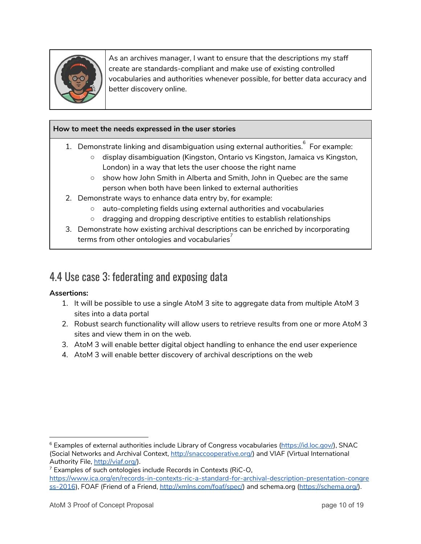

As an archives manager, I want to ensure that the descriptions my staff create are standards-compliant and make use of existing controlled vocabularies and authorities whenever possible, for better data accuracy and better discovery online.

#### **How to meet the needs expressed in the user stories**

- 1. Demonstrate linking and disambiguation using external authorities. $\degree$  For example:
	- display disambiguation (Kingston, Ontario vs Kingston, Jamaica vs Kingston, London) in a way that lets the user choose the right name
	- show how John Smith in Alberta and Smith, John in Quebec are the same person when both have been linked to external authorities
- 2. Demonstrate ways to enhance data entry by, for example:
	- auto-completing fields using external authorities and vocabularies
	- dragging and dropping descriptive entities to establish relationships
- 3. Demonstrate how existing archival descriptions can be enriched by incorporating terms from other ontologies and vocabularies $^7$

### <span id="page-9-0"></span>4.4 Use case 3: federating and exposing data

#### **Assertions:**

- 1. It will be possible to use a single AtoM 3 site to aggregate data from multiple AtoM 3 sites into a data portal
- 2. Robust search functionality will allow users to retrieve results from one or more AtoM 3 sites and view them in on the web.
- 3. AtoM 3 will enable better digital object handling to enhance the end user experience
- 4. AtoM 3 will enable better discovery of archival descriptions on the web

<sup>&</sup>lt;sup>6</sup> Examples of external authorities include Library of Congress vocabularies [\(https://id.loc.gov/](https://id.loc.gov/)), SNAC (Social Networks and Archival Context, [http://snaccooperative.org/\)](http://snaccooperative.org/) and VIAF (Virtual International Authority File, <http://viaf.org/>).

 $7$  Examples of such ontologies include Records in Contexts (RiC-O, [https://www.ica.org/en/records-in-contexts-ric-a-standard-for-archival-description-presentation-congre](https://www.ica.org/en/records-in-contexts-ric-a-standard-for-archival-description-presentation-congress-2016) [ss-2016\)](https://www.ica.org/en/records-in-contexts-ric-a-standard-for-archival-description-presentation-congress-2016), FOAF (Friend of a Friend, <http://xmlns.com/foaf/spec/>) and schema.org ([https://schema.org/\)](https://schema.org/).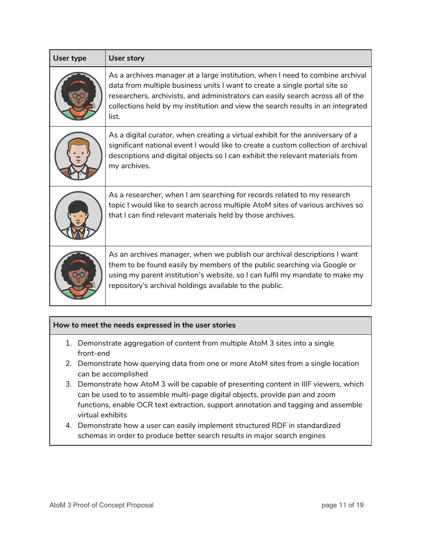| User type | <b>User story</b>                                                                                                                                                                                                                                                                                                                          |
|-----------|--------------------------------------------------------------------------------------------------------------------------------------------------------------------------------------------------------------------------------------------------------------------------------------------------------------------------------------------|
|           | As a archives manager at a large institution, when I need to combine archival<br>data from multiple business units I want to create a single portal site so<br>researchers, archivists, and administrators can easily search across all of the<br>collections held by my institution and view the search results in an integrated<br>list. |
|           | As a digital curator, when creating a virtual exhibit for the anniversary of a<br>significant national event I would like to create a custom collection of archival<br>descriptions and digital objects so I can exhibit the relevant materials from<br>my archives.                                                                       |
|           | As a researcher, when I am searching for records related to my research<br>topic I would like to search across multiple AtoM sites of various archives so<br>that I can find relevant materials held by those archives.                                                                                                                    |
|           | As an archives manager, when we publish our archival descriptions I want<br>them to be found easily by members of the public searching via Google or<br>using my parent institution's website, so I can fulfil my mandate to make my<br>repository's archival holdings available to the public.                                            |

#### **How to meet the needs expressed in the user stories**

- 1. Demonstrate aggregation of content from multiple AtoM 3 sites into a single front-end
- 2. Demonstrate how querying data from one or more AtoM sites from a single location can be accomplished
- 3. Demonstrate how AtoM 3 will be capable of presenting content in IIIF viewers, which can be used to to assemble multi-page digital objects, provide pan and zoom functions, enable OCR text extraction, support annotation and tagging and assemble virtual exhibits
- 4. Demonstrate how a user can easily implement structured RDF in standardized schemas in order to produce better search results in major search engines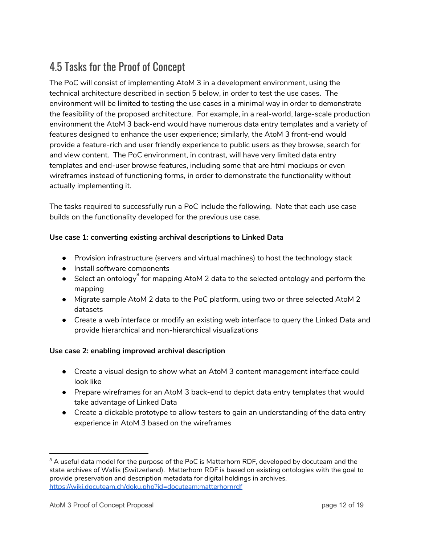# <span id="page-11-0"></span>4.5 Tasks for the Proof of Concept

The PoC will consist of implementing AtoM 3 in a development environment, using the technical architecture described in section 5 below, in order to test the use cases. The environment will be limited to testing the use cases in a minimal way in order to demonstrate the feasibility of the proposed architecture. For example, in a real-world, large-scale production environment the AtoM 3 back-end would have numerous data entry templates and a variety of features designed to enhance the user experience; similarly, the AtoM 3 front-end would provide a feature-rich and user friendly experience to public users as they browse, search for and view content. The PoC environment, in contrast, will have very limited data entry templates and end-user browse features, including some that are html mockups or even wireframes instead of functioning forms, in order to demonstrate the functionality without actually implementing it.

The tasks required to successfully run a PoC include the following. Note that each use case builds on the functionality developed for the previous use case.

#### **Use case 1: converting existing archival descriptions to Linked Data**

- Provision infrastructure (servers and virtual machines) to host the technology stack
- Install software components
- $\bullet$  Select an ontology  $^{\!\!8}$  for mapping AtoM 2 data to the selected ontology and perform the mapping
- Migrate sample AtoM 2 data to the PoC platform, using two or three selected AtoM 2 datasets
- Create a web interface or modify an existing web interface to query the Linked Data and provide hierarchical and non-hierarchical visualizations

#### **Use case 2: enabling improved archival description**

- Create a visual design to show what an AtoM 3 content management interface could look like
- Prepare wireframes for an AtoM 3 back-end to depict data entry templates that would take advantage of Linked Data
- Create a clickable prototype to allow testers to gain an understanding of the data entry experience in AtoM 3 based on the wireframes

 $8$  A useful data model for the purpose of the PoC is Matterhorn RDF, developed by docuteam and the state archives of Wallis (Switzerland). Matterhorn RDF is based on existing ontologies with the goal to provide preservation and description metadata for digital holdings in archives. <https://wiki.docuteam.ch/doku.php?id=docuteam:matterhornrdf>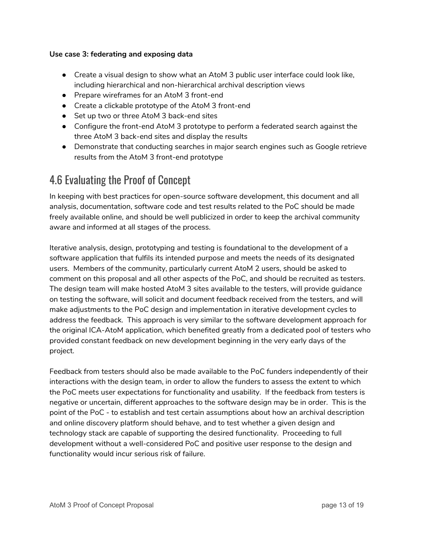#### **Use case 3: federating and exposing data**

- **●** Create a visual design to show what an AtoM 3 public user interface could look like, including hierarchical and non-hierarchical archival description views
- Prepare wireframes for an AtoM 3 front-end
- Create a clickable prototype of the AtoM 3 front-end
- **●** Set up two or three AtoM 3 back-end sites
- Configure the front-end AtoM 3 prototype to perform a federated search against the three AtoM 3 back-end sites and display the results
- Demonstrate that conducting searches in major search engines such as Google retrieve results from the AtoM 3 front-end prototype

### <span id="page-12-0"></span>4.6 Evaluating the Proof of Concept

In keeping with best practices for open-source software development, this document and all analysis, documentation, software code and test results related to the PoC should be made freely available online, and should be well publicized in order to keep the archival community aware and informed at all stages of the process.

Iterative analysis, design, prototyping and testing is foundational to the development of a software application that fulfils its intended purpose and meets the needs of its designated users. Members of the community, particularly current AtoM 2 users, should be asked to comment on this proposal and all other aspects of the PoC, and should be recruited as testers. The design team will make hosted AtoM 3 sites available to the testers, will provide guidance on testing the software, will solicit and document feedback received from the testers, and will make adjustments to the PoC design and implementation in iterative development cycles to address the feedback. This approach is very similar to the software development approach for the original ICA-AtoM application, which benefited greatly from a dedicated pool of testers who provided constant feedback on new development beginning in the very early days of the project.

Feedback from testers should also be made available to the PoC funders independently of their interactions with the design team, in order to allow the funders to assess the extent to which the PoC meets user expectations for functionality and usability. If the feedback from testers is negative or uncertain, different approaches to the software design may be in order. This is the point of the PoC - to establish and test certain assumptions about how an archival description and online discovery platform should behave, and to test whether a given design and technology stack are capable of supporting the desired functionality. Proceeding to full development without a well-considered PoC and positive user response to the design and functionality would incur serious risk of failure.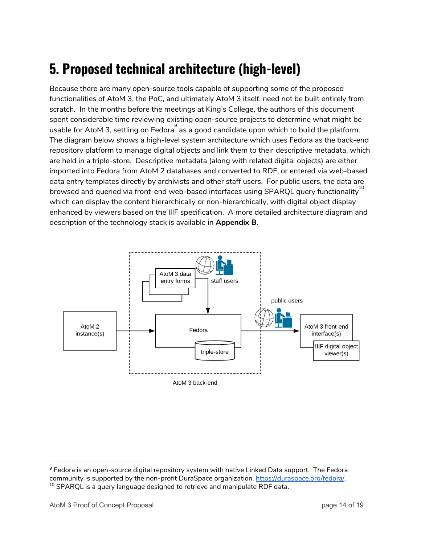# <span id="page-13-0"></span>**5. Proposed technical architecture (high-level)**

Because there are many open-source tools capable of supporting some of the proposed functionalities of AtoM 3, the PoC, and ultimately AtoM 3 itself, need not be built entirely from scratch. In the months before the meetings at King's College, the authors of this document spent considerable time reviewing existing open-source projects to determine what might be usable for AtoM 3, settling on Fedora $\overset{\circ}{\,}$  as a good candidate upon which to build the platform. The diagram below shows a high-level system architecture which uses Fedora as the back-end repository platform to manage digital objects and link them to their descriptive metadata, which are held in a triple-store. Descriptive metadata (along with related digital objects) are either imported into Fedora from AtoM 2 databases and converted to RDF, or entered via web-based data entry templates directly by archivists and other staff users. For public users, the data are browsed and queried via front-end web-based interfaces using SPARQL query functionality $^{\rm 10}$ which can display the content hierarchically or non-hierarchically, with digital object display enhanced by viewers based on the IIIF specification. A more detailed architecture diagram and description of the technology stack is available in **Appendix B**.



<span id="page-13-1"></span><sup>&</sup>lt;sup>9</sup> Fedora is an open-source digital repository system with native Linked Data support. The Fedora community is supported by the non-profit DuraSpace organization. <https://duraspace.org/fedora/>.  $10$  SPARQL is a query language designed to retrieve and manipulate RDF data.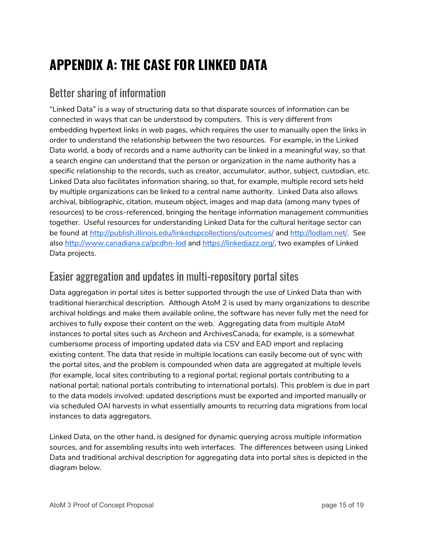# <span id="page-14-0"></span>**APPENDIX A: THE CASE FOR LINKED DATA**

### <span id="page-14-1"></span>Better sharing of information

"Linked Data" is a way of structuring data so that disparate sources of information can be connected in ways that can be understood by computers. This is very different from embedding hypertext links in web pages, which requires the user to manually open the links in order to understand the relationship between the two resources. For example, in the Linked Data world, a body of records and a name authority can be linked in a meaningful way, so that a search engine can understand that the person or organization in the name authority has a specific relationship to the records, such as creator, accumulator, author, subject, custodian, etc. Linked Data also facilitates information sharing, so that, for example, multiple record sets held by multiple organizations can be linked to a central name authority. Linked Data also allows archival, bibliographic, citation, museum object, images and map data (among many types of resources) to be cross-referenced, bringing the heritage information management communities together. Useful resources for understanding Linked Data for the cultural heritage sector can be found at <http://publish.illinois.edu/linkedspcollections/outcomes/> and [http://lodlam.net/.](http://lodlam.net/) See also <http://www.canadiana.ca/pcdhn-lod> and [https://linkedjazz.org/,](https://linkedjazz.org/) two examples of Linked Data projects.

### <span id="page-14-2"></span>Easier aggregation and updates in multi-repository portal sites

Data aggregation in portal sites is better supported through the use of Linked Data than with traditional hierarchical description. Although AtoM 2 is used by many organizations to describe archival holdings and make them available online, the software has never fully met the need for archives to fully expose their content on the web. Aggregating data from multiple AtoM instances to portal sites such as Archeon and ArchivesCanada, for example, is a somewhat cumbersome process of importing updated data via CSV and EAD import and replacing existing content. The data that reside in multiple locations can easily become out of sync with the portal sites, and the problem is compounded when data are aggregated at multiple levels (for example, local sites contributing to a regional portal; regional portals contributing to a national portal; national portals contributing to international portals). This problem is due in part to the data models involved: updated descriptions must be exported and imported manually or via scheduled OAI harvests in what essentially amounts to recurring data migrations from local instances to data aggregators.

Linked Data, on the other hand, is designed for dynamic querying across multiple information sources, and for assembling results into web interfaces. The differences between using Linked Data and traditional archival description for aggregating data into portal sites is depicted in the diagram below.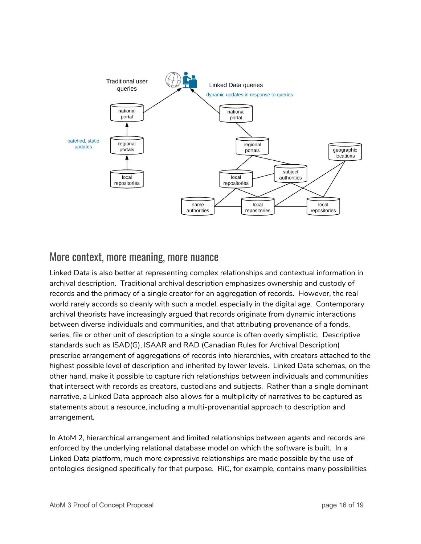

#### <span id="page-15-0"></span>More context, more meaning, more nuance

Linked Data is also better at representing complex relationships and contextual information in archival description. Traditional archival description emphasizes ownership and custody of records and the primacy of a single creator for an aggregation of records. However, the real world rarely accords so cleanly with such a model, especially in the digital age. Contemporary archival theorists have increasingly argued that records originate from dynamic interactions between diverse individuals and communities, and that attributing provenance of a fonds, series, file or other unit of description to a single source is often overly simplistic. Descriptive standards such as ISAD(G), ISAAR and RAD (Canadian Rules for Archival Description) prescribe arrangement of aggregations of records into hierarchies, with creators attached to the highest possible level of description and inherited by lower levels. Linked Data schemas, on the other hand, make it possible to capture rich relationships between individuals and communities that intersect with records as creators, custodians and subjects. Rather than a single dominant narrative, a Linked Data approach also allows for a multiplicity of narratives to be captured as statements about a resource, including a multi-provenantial approach to description and arrangement.

In AtoM 2, hierarchical arrangement and limited relationships between agents and records are enforced by the underlying relational database model on which the software is built. In a Linked Data platform, much more expressive relationships are made possible by the use of ontologies designed specifically for that purpose. RiC, for example, contains many possibilities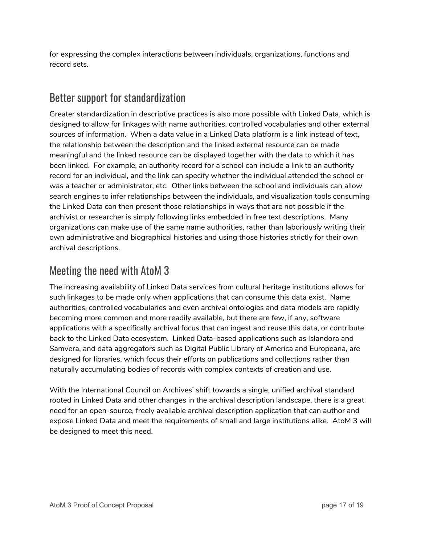for expressing the complex interactions between individuals, organizations, functions and record sets.

## <span id="page-16-0"></span>Better support for standardization

Greater standardization in descriptive practices is also more possible with Linked Data, which is designed to allow for linkages with name authorities, controlled vocabularies and other external sources of information. When a data value in a Linked Data platform is a link instead of text, the relationship between the description and the linked external resource can be made meaningful and the linked resource can be displayed together with the data to which it has been linked. For example, an authority record for a school can include a link to an authority record for an individual, and the link can specify whether the individual attended the school or was a teacher or administrator, etc. Other links between the school and individuals can allow search engines to infer relationships between the individuals, and visualization tools consuming the Linked Data can then present those relationships in ways that are not possible if the archivist or researcher is simply following links embedded in free text descriptions. Many organizations can make use of the same name authorities, rather than laboriously writing their own administrative and biographical histories and using those histories strictly for their own archival descriptions.

### <span id="page-16-1"></span>Meeting the need with AtoM 3

The increasing availability of Linked Data services from cultural heritage institutions allows for such linkages to be made only when applications that can consume this data exist. Name authorities, controlled vocabularies and even archival ontologies and data models are rapidly becoming more common and more readily available, but there are few, if any, software applications with a specifically archival focus that can ingest and reuse this data, or contribute back to the Linked Data ecosystem. Linked Data-based applications such as Islandora and Samvera, and data aggregators such as Digital Public Library of America and Europeana, are designed for libraries, which focus their efforts on publications and collections rather than naturally accumulating bodies of records with complex contexts of creation and use.

With the International Council on Archives' shift towards a single, unified archival standard rooted in Linked Data and other changes in the archival description landscape, there is a great need for an open-source, freely available archival description application that can author and expose Linked Data and meet the requirements of small and large institutions alike. AtoM 3 will be designed to meet this need.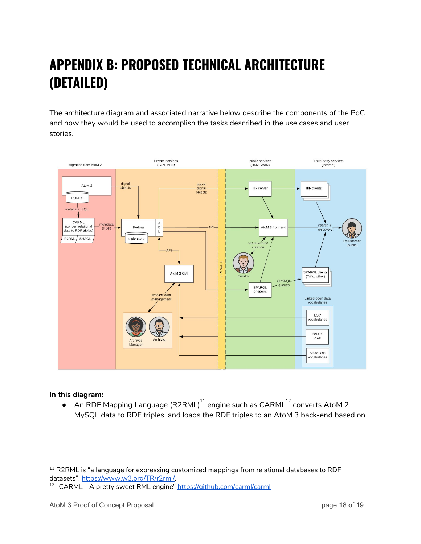# <span id="page-17-0"></span>**APPENDIX B: PROPOSED TECHNICAL ARCHITECTURE (DETAILED)**

The architecture diagram and associated narrative below describe the components of the PoC and how they would be used to accomplish the tasks described in the use cases and user stories.



#### **In this diagram:**

 $\bullet$  An RDF Mapping Language (R2RML) $^{11}$  engine such as CARML $^{12}$  converts AtoM 2 MySQL data to RDF triples, and loads the RDF triples to an AtoM 3 back-end based on

 $11$  R2RML is "a language for expressing customized mappings from relational databases to RDF datasets". <https://www.w3.org/TR/r2rml/>.

<sup>&</sup>lt;sup>12</sup> "CARML - A pretty sweet RML engine" <https://github.com/carml/carml>